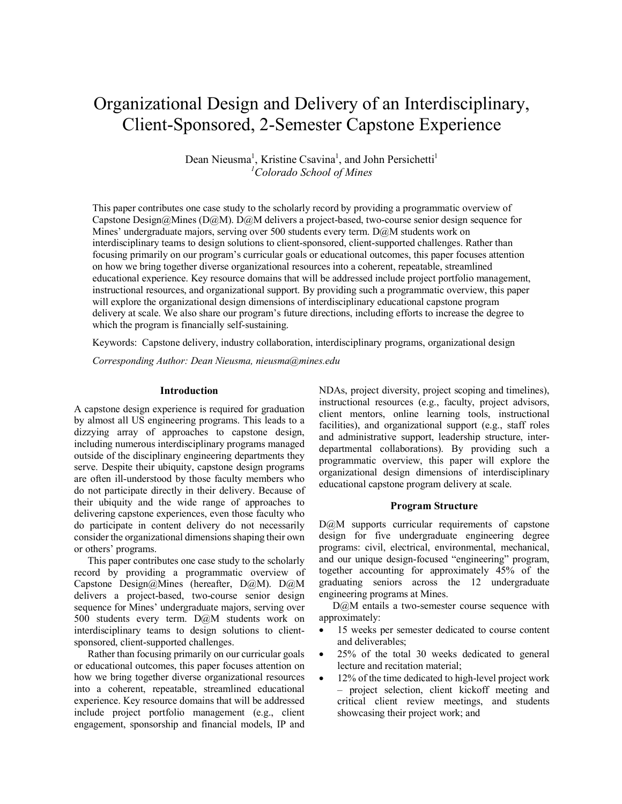# Organizational Design and Delivery of an Interdisciplinary, Client-Sponsored, 2-Semester Capstone Experience

Dean Nieusma<sup>1</sup>, Kristine Csavina<sup>1</sup>, and John Persichetti<sup>1</sup> *1 Colorado School of Mines*

This paper contributes one case study to the scholarly record by providing a programmatic overview of Capstone Design@Mines (D@M). D@M delivers a project-based, two-course senior design sequence for Mines' undergraduate majors, serving over 500 students every term. D@M students work on interdisciplinary teams to design solutions to client-sponsored, client-supported challenges. Rather than focusing primarily on our program's curricular goals or educational outcomes, this paper focuses attention on how we bring together diverse organizational resources into a coherent, repeatable, streamlined educational experience. Key resource domains that will be addressed include project portfolio management, instructional resources, and organizational support. By providing such a programmatic overview, this paper will explore the organizational design dimensions of interdisciplinary educational capstone program delivery at scale. We also share our program's future directions, including efforts to increase the degree to which the program is financially self-sustaining.

Keywords:Capstone delivery, industry collaboration, interdisciplinary programs, organizational design

*Corresponding Author: Dean Nieusma, nieusma@mines.edu*

#### **Introduction**

A capstone design experience is required for graduation by almost all US engineering programs. This leads to a dizzying array of approaches to capstone design, including numerous interdisciplinary programs managed outside of the disciplinary engineering departments they serve. Despite their ubiquity, capstone design programs are often ill-understood by those faculty members who do not participate directly in their delivery. Because of their ubiquity and the wide range of approaches to delivering capstone experiences, even those faculty who do participate in content delivery do not necessarily consider the organizational dimensions shaping their own or others' programs.

This paper contributes one case study to the scholarly record by providing a programmatic overview of Capstone Design@Mines (hereafter, D@M). D@M delivers a project-based, two-course senior design sequence for Mines' undergraduate majors, serving over 500 students every term. D@M students work on interdisciplinary teams to design solutions to clientsponsored, client-supported challenges.

Rather than focusing primarily on our curricular goals or educational outcomes, this paper focuses attention on how we bring together diverse organizational resources into a coherent, repeatable, streamlined educational experience. Key resource domains that will be addressed include project portfolio management (e.g., client engagement, sponsorship and financial models, IP and NDAs, project diversity, project scoping and timelines), instructional resources (e.g., faculty, project advisors, client mentors, online learning tools, instructional facilities), and organizational support (e.g., staff roles and administrative support, leadership structure, interdepartmental collaborations). By providing such a programmatic overview, this paper will explore the organizational design dimensions of interdisciplinary educational capstone program delivery at scale.

## **Program Structure**

D@M supports curricular requirements of capstone design for five undergraduate engineering degree programs: civil, electrical, environmental, mechanical, and our unique design-focused "engineering" program, together accounting for approximately 45% of the graduating seniors across the 12 undergraduate engineering programs at Mines.

D@M entails a two-semester course sequence with approximately:

- 15 weeks per semester dedicated to course content and deliverables;
- 25% of the total 30 weeks dedicated to general lecture and recitation material;
- 12% of the time dedicated to high-level project work – project selection, client kickoff meeting and critical client review meetings, and students showcasing their project work; and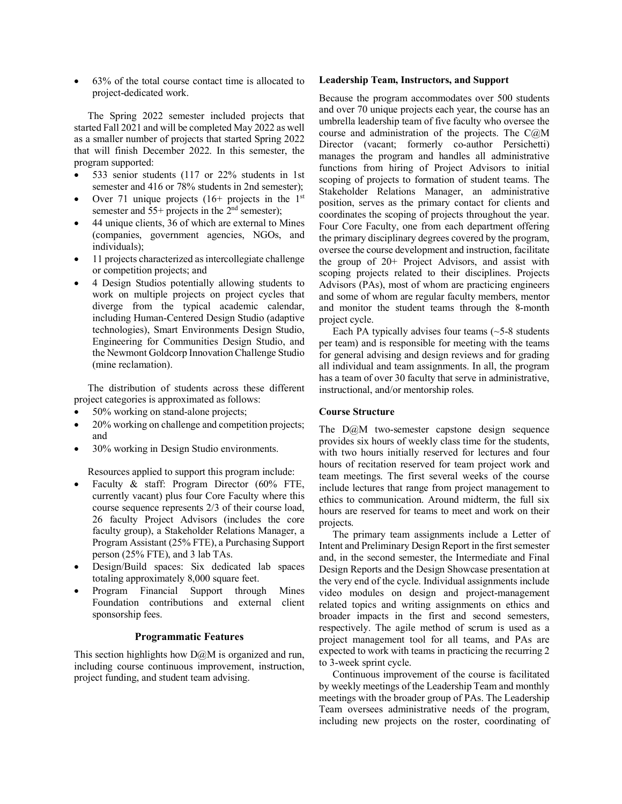• 63% of the total course contact time is allocated to project-dedicated work.

The Spring 2022 semester included projects that started Fall 2021 and will be completed May 2022 as well as a smaller number of projects that started Spring 2022 that will finish December 2022. In this semester, the program supported:

- 533 senior students (117 or 22% students in 1st semester and 416 or 78% students in 2nd semester);
- Over 71 unique projects (16+ projects in the  $1<sup>st</sup>$ semester and  $55+$  projects in the  $2<sup>nd</sup>$  semester);
- 44 unique clients, 36 of which are external to Mines (companies, government agencies, NGOs, and individuals);
- 11 projects characterized as intercollegiate challenge or competition projects; and
- 4 Design Studios potentially allowing students to work on multiple projects on project cycles that diverge from the typical academic calendar, including Human-Centered Design Studio (adaptive technologies), Smart Environments Design Studio, Engineering for Communities Design Studio, and the Newmont Goldcorp Innovation Challenge Studio (mine reclamation).

The distribution of students across these different project categories is approximated as follows:

- 50% working on stand-alone projects;
- 20% working on challenge and competition projects; and
- 30% working in Design Studio environments.

Resources applied to support this program include:

- Faculty & staff: Program Director (60% FTE, currently vacant) plus four Core Faculty where this course sequence represents 2/3 of their course load, 26 faculty Project Advisors (includes the core faculty group), a Stakeholder Relations Manager, a Program Assistant (25% FTE), a Purchasing Support person (25% FTE), and 3 lab TAs.
- Design/Build spaces: Six dedicated lab spaces totaling approximately 8,000 square feet.
- Program Financial Support through Mines Foundation contributions and external client sponsorship fees.

## **Programmatic Features**

This section highlights how  $D@M$  is organized and run, including course continuous improvement, instruction, project funding, and student team advising.

#### **Leadership Team, Instructors, and Support**

Because the program accommodates over 500 students and over 70 unique projects each year, the course has an umbrella leadership team of five faculty who oversee the course and administration of the projects. The  $C(\partial M)$ Director (vacant; formerly co-author Persichetti) manages the program and handles all administrative functions from hiring of Project Advisors to initial scoping of projects to formation of student teams. The Stakeholder Relations Manager, an administrative position, serves as the primary contact for clients and coordinates the scoping of projects throughout the year. Four Core Faculty, one from each department offering the primary disciplinary degrees covered by the program, oversee the course development and instruction, facilitate the group of 20+ Project Advisors, and assist with scoping projects related to their disciplines. Projects Advisors (PAs), most of whom are practicing engineers and some of whom are regular faculty members, mentor and monitor the student teams through the 8-month project cycle.

Each PA typically advises four teams  $(-5-8)$  students per team) and is responsible for meeting with the teams for general advising and design reviews and for grading all individual and team assignments. In all, the program has a team of over 30 faculty that serve in administrative, instructional, and/or mentorship roles.

## **Course Structure**

The  $D\ddot{\omega}$ M two-semester capstone design sequence provides six hours of weekly class time for the students, with two hours initially reserved for lectures and four hours of recitation reserved for team project work and team meetings. The first several weeks of the course include lectures that range from project management to ethics to communication. Around midterm, the full six hours are reserved for teams to meet and work on their projects.

The primary team assignments include a Letter of Intent and Preliminary Design Report in the first semester and, in the second semester, the Intermediate and Final Design Reports and the Design Showcase presentation at the very end of the cycle. Individual assignments include video modules on design and project-management related topics and writing assignments on ethics and broader impacts in the first and second semesters, respectively. The agile method of scrum is used as a project management tool for all teams, and PAs are expected to work with teams in practicing the recurring 2 to 3-week sprint cycle.

Continuous improvement of the course is facilitated by weekly meetings of the Leadership Team and monthly meetings with the broader group of PAs. The Leadership Team oversees administrative needs of the program, including new projects on the roster, coordinating of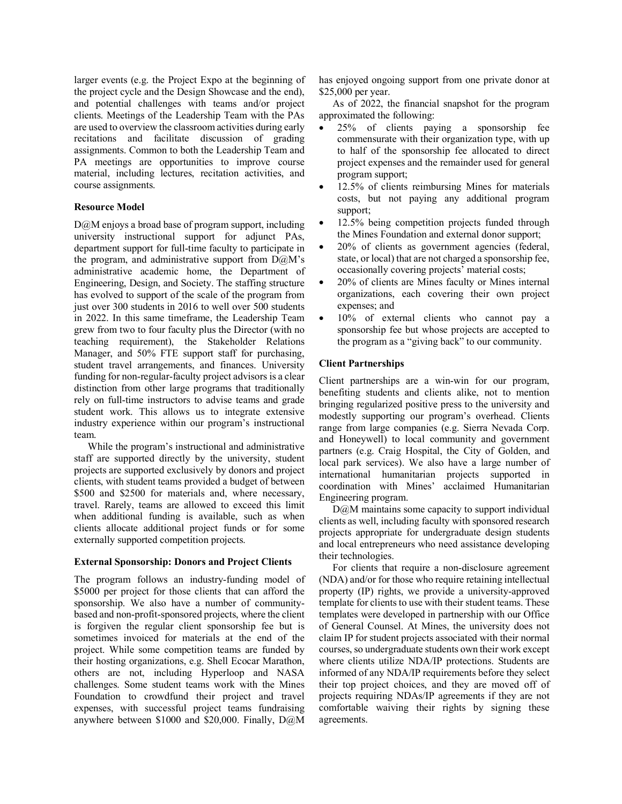larger events (e.g. the Project Expo at the beginning of the project cycle and the Design Showcase and the end), and potential challenges with teams and/or project clients. Meetings of the Leadership Team with the PAs are used to overview the classroom activities during early recitations and facilitate discussion of grading assignments. Common to both the Leadership Team and PA meetings are opportunities to improve course material, including lectures, recitation activities, and course assignments.

# **Resource Model**

D@M enjoys a broad base of program support, including university instructional support for adjunct PAs, department support for full-time faculty to participate in the program, and administrative support from  $D(\partial M)$ 's administrative academic home, the Department of Engineering, Design, and Society. The staffing structure has evolved to support of the scale of the program from just over 300 students in 2016 to well over 500 students in 2022. In this same timeframe, the Leadership Team grew from two to four faculty plus the Director (with no teaching requirement), the Stakeholder Relations Manager, and 50% FTE support staff for purchasing, student travel arrangements, and finances. University funding for non-regular-faculty project advisors is a clear distinction from other large programs that traditionally rely on full-time instructors to advise teams and grade student work. This allows us to integrate extensive industry experience within our program's instructional team.

While the program's instructional and administrative staff are supported directly by the university, student projects are supported exclusively by donors and project clients, with student teams provided a budget of between \$500 and \$2500 for materials and, where necessary, travel. Rarely, teams are allowed to exceed this limit when additional funding is available, such as when clients allocate additional project funds or for some externally supported competition projects.

# **External Sponsorship: Donors and Project Clients**

The program follows an industry-funding model of \$5000 per project for those clients that can afford the sponsorship. We also have a number of communitybased and non-profit-sponsored projects, where the client is forgiven the regular client sponsorship fee but is sometimes invoiced for materials at the end of the project. While some competition teams are funded by their hosting organizations, e.g. Shell Ecocar Marathon, others are not, including Hyperloop and NASA challenges. Some student teams work with the Mines Foundation to crowdfund their project and travel expenses, with successful project teams fundraising anywhere between \$1000 and \$20,000. Finally, D@M has enjoyed ongoing support from one private donor at \$25,000 per year.

As of 2022, the financial snapshot for the program approximated the following:

- 25% of clients paying a sponsorship fee commensurate with their organization type, with up to half of the sponsorship fee allocated to direct project expenses and the remainder used for general program support;
- 12.5% of clients reimbursing Mines for materials costs, but not paying any additional program support;
- 12.5% being competition projects funded through the Mines Foundation and external donor support;
- 20% of clients as government agencies (federal, state, or local) that are not charged a sponsorship fee, occasionally covering projects' material costs;
- 20% of clients are Mines faculty or Mines internal organizations, each covering their own project expenses; and
- 10% of external clients who cannot pay a sponsorship fee but whose projects are accepted to the program as a "giving back" to our community.

# **Client Partnerships**

Client partnerships are a win-win for our program, benefiting students and clients alike, not to mention bringing regularized positive press to the university and modestly supporting our program's overhead. Clients range from large companies (e.g. Sierra Nevada Corp. and Honeywell) to local community and government partners (e.g. Craig Hospital, the City of Golden, and local park services). We also have a large number of international humanitarian projects supported in coordination with Mines' acclaimed Humanitarian Engineering program.

D@M maintains some capacity to support individual clients as well, including faculty with sponsored research projects appropriate for undergraduate design students and local entrepreneurs who need assistance developing their technologies.

For clients that require a non-disclosure agreement (NDA) and/or for those who require retaining intellectual property (IP) rights, we provide a university-approved template for clients to use with their student teams. These templates were developed in partnership with our Office of General Counsel. At Mines, the university does not claim IP for student projects associated with their normal courses, so undergraduate students own their work except where clients utilize NDA/IP protections. Students are informed of any NDA/IP requirements before they select their top project choices, and they are moved off of projects requiring NDAs/IP agreements if they are not comfortable waiving their rights by signing these agreements.